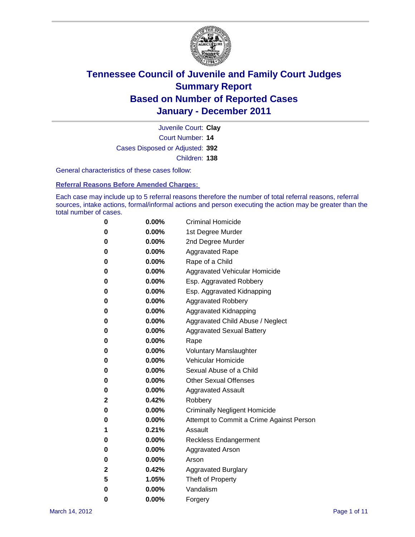

Court Number: **14** Juvenile Court: **Clay** Cases Disposed or Adjusted: **392** Children: **138**

General characteristics of these cases follow:

**Referral Reasons Before Amended Charges:** 

Each case may include up to 5 referral reasons therefore the number of total referral reasons, referral sources, intake actions, formal/informal actions and person executing the action may be greater than the total number of cases.

| 0 | $0.00\%$ | <b>Criminal Homicide</b>                 |
|---|----------|------------------------------------------|
| 0 | $0.00\%$ | 1st Degree Murder                        |
| 0 | $0.00\%$ | 2nd Degree Murder                        |
| 0 | $0.00\%$ | <b>Aggravated Rape</b>                   |
| 0 | $0.00\%$ | Rape of a Child                          |
| 0 | $0.00\%$ | Aggravated Vehicular Homicide            |
| 0 | $0.00\%$ | Esp. Aggravated Robbery                  |
| 0 | $0.00\%$ | Esp. Aggravated Kidnapping               |
| 0 | $0.00\%$ | <b>Aggravated Robbery</b>                |
| 0 | $0.00\%$ | Aggravated Kidnapping                    |
| 0 | $0.00\%$ | Aggravated Child Abuse / Neglect         |
| 0 | $0.00\%$ | <b>Aggravated Sexual Battery</b>         |
| 0 | 0.00%    | Rape                                     |
| 0 | $0.00\%$ | <b>Voluntary Manslaughter</b>            |
| 0 | $0.00\%$ | Vehicular Homicide                       |
| 0 | $0.00\%$ | Sexual Abuse of a Child                  |
| 0 | $0.00\%$ | <b>Other Sexual Offenses</b>             |
| 0 | $0.00\%$ | <b>Aggravated Assault</b>                |
| 2 | 0.42%    | Robbery                                  |
| 0 | $0.00\%$ | <b>Criminally Negligent Homicide</b>     |
| 0 | $0.00\%$ | Attempt to Commit a Crime Against Person |
| 1 | 0.21%    | Assault                                  |
| 0 | $0.00\%$ | <b>Reckless Endangerment</b>             |
| 0 | 0.00%    | <b>Aggravated Arson</b>                  |
| 0 | $0.00\%$ | Arson                                    |
| 2 | 0.42%    | <b>Aggravated Burglary</b>               |
| 5 | 1.05%    | Theft of Property                        |
| 0 | $0.00\%$ | Vandalism                                |
| 0 | $0.00\%$ | Forgery                                  |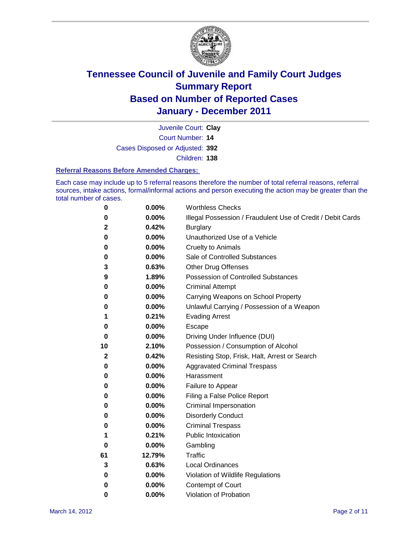

Court Number: **14** Juvenile Court: **Clay** Cases Disposed or Adjusted: **392** Children: **138**

#### **Referral Reasons Before Amended Charges:**

Each case may include up to 5 referral reasons therefore the number of total referral reasons, referral sources, intake actions, formal/informal actions and person executing the action may be greater than the total number of cases.

| 0            | 0.00%    | <b>Worthless Checks</b>                                     |
|--------------|----------|-------------------------------------------------------------|
| 0            | 0.00%    | Illegal Possession / Fraudulent Use of Credit / Debit Cards |
| $\mathbf{2}$ | 0.42%    | <b>Burglary</b>                                             |
| 0            | 0.00%    | Unauthorized Use of a Vehicle                               |
| 0            | $0.00\%$ | <b>Cruelty to Animals</b>                                   |
| 0            | 0.00%    | Sale of Controlled Substances                               |
| 3            | 0.63%    | <b>Other Drug Offenses</b>                                  |
| 9            | 1.89%    | <b>Possession of Controlled Substances</b>                  |
| 0            | 0.00%    | <b>Criminal Attempt</b>                                     |
| 0            | 0.00%    | Carrying Weapons on School Property                         |
| 0            | 0.00%    | Unlawful Carrying / Possession of a Weapon                  |
| 1            | 0.21%    | <b>Evading Arrest</b>                                       |
| 0            | $0.00\%$ | Escape                                                      |
| 0            | 0.00%    | Driving Under Influence (DUI)                               |
| 10           | 2.10%    | Possession / Consumption of Alcohol                         |
| 2            | 0.42%    | Resisting Stop, Frisk, Halt, Arrest or Search               |
| 0            | $0.00\%$ | <b>Aggravated Criminal Trespass</b>                         |
| 0            | $0.00\%$ | Harassment                                                  |
| 0            | 0.00%    | Failure to Appear                                           |
| 0            | 0.00%    | Filing a False Police Report                                |
| 0            | 0.00%    | Criminal Impersonation                                      |
| 0            | 0.00%    | <b>Disorderly Conduct</b>                                   |
| 0            | $0.00\%$ | <b>Criminal Trespass</b>                                    |
| 1            | 0.21%    | <b>Public Intoxication</b>                                  |
| 0            | 0.00%    | Gambling                                                    |
| 61           | 12.79%   | Traffic                                                     |
| 3            | 0.63%    | <b>Local Ordinances</b>                                     |
| 0            | 0.00%    | Violation of Wildlife Regulations                           |
| 0            | $0.00\%$ | Contempt of Court                                           |
| 0            | 0.00%    | Violation of Probation                                      |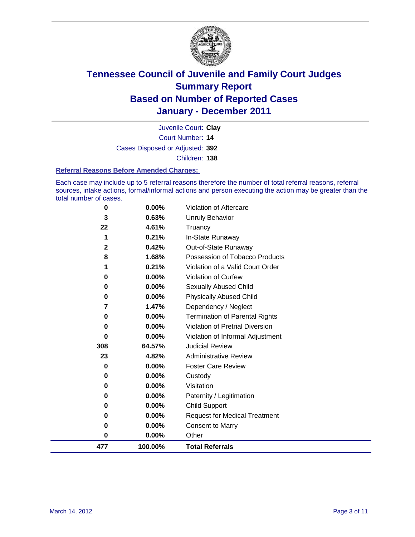

Court Number: **14** Juvenile Court: **Clay** Cases Disposed or Adjusted: **392** Children: **138**

#### **Referral Reasons Before Amended Charges:**

Each case may include up to 5 referral reasons therefore the number of total referral reasons, referral sources, intake actions, formal/informal actions and person executing the action may be greater than the total number of cases.

| 0            | 0.00%   | Violation of Aftercare                 |
|--------------|---------|----------------------------------------|
| 3            | 0.63%   | Unruly Behavior                        |
| 22           | 4.61%   | Truancy                                |
| 1            | 0.21%   | In-State Runaway                       |
| $\mathbf{2}$ | 0.42%   | Out-of-State Runaway                   |
| 8            | 1.68%   | Possession of Tobacco Products         |
| 1            | 0.21%   | Violation of a Valid Court Order       |
| $\bf{0}$     | 0.00%   | Violation of Curfew                    |
| 0            | 0.00%   | Sexually Abused Child                  |
| 0            | 0.00%   | <b>Physically Abused Child</b>         |
| 7            | 1.47%   | Dependency / Neglect                   |
| 0            | 0.00%   | <b>Termination of Parental Rights</b>  |
| $\bf{0}$     | 0.00%   | <b>Violation of Pretrial Diversion</b> |
| $\bf{0}$     | 0.00%   | Violation of Informal Adjustment       |
| 308          | 64.57%  | <b>Judicial Review</b>                 |
| 23           | 4.82%   | <b>Administrative Review</b>           |
| $\bf{0}$     | 0.00%   | <b>Foster Care Review</b>              |
| 0            | 0.00%   | Custody                                |
| 0            | 0.00%   | Visitation                             |
| 0            | 0.00%   | Paternity / Legitimation               |
| 0            | 0.00%   | <b>Child Support</b>                   |
| 0            | 0.00%   | <b>Request for Medical Treatment</b>   |
| 0            | 0.00%   | <b>Consent to Marry</b>                |
| 0            | 0.00%   | Other                                  |
| 477          | 100.00% | <b>Total Referrals</b>                 |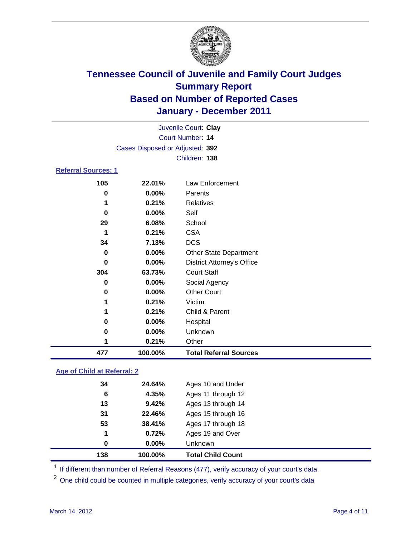

|                            |                                 | Juvenile Court: Clay              |
|----------------------------|---------------------------------|-----------------------------------|
|                            |                                 | <b>Court Number: 14</b>           |
|                            | Cases Disposed or Adjusted: 392 |                                   |
|                            |                                 | Children: 138                     |
| <b>Referral Sources: 1</b> |                                 |                                   |
| 105                        | 22.01%                          | <b>Law Enforcement</b>            |
| 0                          | 0.00%                           | Parents                           |
| 1                          | 0.21%                           | <b>Relatives</b>                  |
| $\bf{0}$                   | 0.00%                           | Self                              |
| 29                         | 6.08%                           | School                            |
| 1                          | 0.21%                           | <b>CSA</b>                        |
| 34                         | 7.13%                           | <b>DCS</b>                        |
| 0                          | 0.00%                           | <b>Other State Department</b>     |
| $\bf{0}$                   | 0.00%                           | <b>District Attorney's Office</b> |
| 304                        | 63.73%                          | <b>Court Staff</b>                |
| 0                          | 0.00%                           | Social Agency                     |
| 0                          | 0.00%                           | <b>Other Court</b>                |
| 1                          | 0.21%                           | Victim                            |
|                            | 0.21%                           | Child & Parent                    |
| 0                          | 0.00%                           | Hospital                          |
| 0                          | 0.00%                           | Unknown                           |
| 1                          | 0.21%                           | Other                             |
| 477                        | 100.00%                         | <b>Total Referral Sources</b>     |

### **Age of Child at Referral: 2**

| 138 | 100.00%  | <b>Total Child Count</b> |
|-----|----------|--------------------------|
| 0   | $0.00\%$ | <b>Unknown</b>           |
| 1   | 0.72%    | Ages 19 and Over         |
| 53  | 38.41%   | Ages 17 through 18       |
| 31  | 22.46%   | Ages 15 through 16       |
| 13  | 9.42%    | Ages 13 through 14       |
| 6   | 4.35%    | Ages 11 through 12       |
| 34  | 24.64%   | Ages 10 and Under        |
|     |          |                          |

<sup>1</sup> If different than number of Referral Reasons (477), verify accuracy of your court's data.

<sup>2</sup> One child could be counted in multiple categories, verify accuracy of your court's data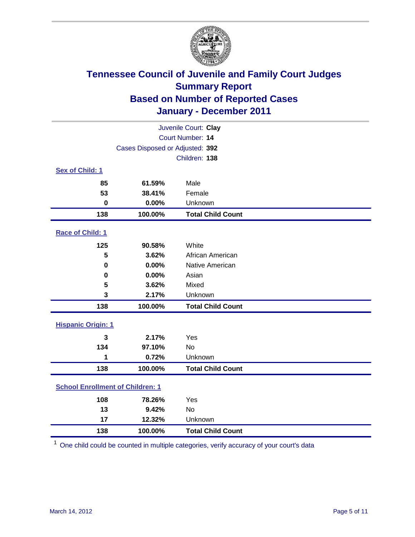

| Juvenile Court: Clay                    |         |                          |  |
|-----------------------------------------|---------|--------------------------|--|
| <b>Court Number: 14</b>                 |         |                          |  |
| Cases Disposed or Adjusted: 392         |         |                          |  |
|                                         |         | Children: 138            |  |
| Sex of Child: 1                         |         |                          |  |
| 85                                      | 61.59%  | Male                     |  |
| 53                                      | 38.41%  | Female                   |  |
| $\mathbf 0$                             | 0.00%   | Unknown                  |  |
| 138                                     | 100.00% | <b>Total Child Count</b> |  |
| Race of Child: 1                        |         |                          |  |
| 125                                     | 90.58%  | White                    |  |
| 5                                       | 3.62%   | African American         |  |
| $\mathbf 0$                             | 0.00%   | Native American          |  |
| $\mathbf 0$                             | 0.00%   | Asian                    |  |
| 5                                       | 3.62%   | Mixed                    |  |
| 3                                       | 2.17%   | Unknown                  |  |
| 138                                     | 100.00% | <b>Total Child Count</b> |  |
| <b>Hispanic Origin: 1</b>               |         |                          |  |
| 3                                       | 2.17%   | Yes                      |  |
| 134                                     | 97.10%  | <b>No</b>                |  |
| 1                                       | 0.72%   | Unknown                  |  |
| 138                                     | 100.00% | <b>Total Child Count</b> |  |
| <b>School Enrollment of Children: 1</b> |         |                          |  |
| 108                                     | 78.26%  | Yes                      |  |
| 13                                      | 9.42%   | No                       |  |
| 17                                      | 12.32%  | Unknown                  |  |
| 138                                     | 100.00% | <b>Total Child Count</b> |  |

One child could be counted in multiple categories, verify accuracy of your court's data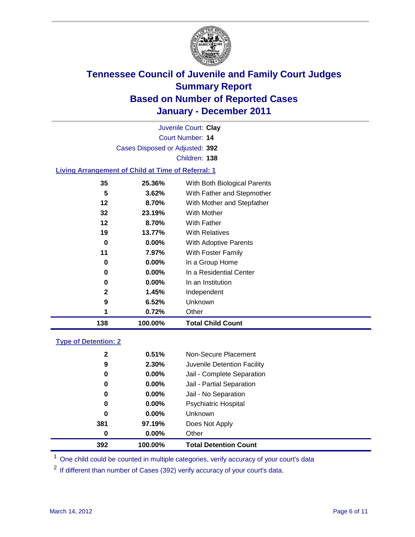

Court Number: **14** Juvenile Court: **Clay** Cases Disposed or Adjusted: **392** Children: **138**

### **Living Arrangement of Child at Time of Referral: 1**

| 138 | 100.00%  | <b>Total Child Count</b>     |
|-----|----------|------------------------------|
| 1   | 0.72%    | Other                        |
| 9   | 6.52%    | Unknown                      |
| 2   | 1.45%    | Independent                  |
| 0   | $0.00\%$ | In an Institution            |
| 0   | $0.00\%$ | In a Residential Center      |
| 0   | 0.00%    | In a Group Home              |
| 11  | 7.97%    | With Foster Family           |
| 0   | $0.00\%$ | With Adoptive Parents        |
| 19  | 13.77%   | <b>With Relatives</b>        |
| 12  | 8.70%    | <b>With Father</b>           |
| 32  | 23.19%   | With Mother                  |
| 12  | 8.70%    | With Mother and Stepfather   |
| 5   | 3.62%    | With Father and Stepmother   |
| 35  | 25.36%   | With Both Biological Parents |
|     |          |                              |

### **Type of Detention: 2**

| 392      | 100.00%  | <b>Total Detention Count</b> |
|----------|----------|------------------------------|
| $\bf{0}$ | $0.00\%$ | Other                        |
| 381      | 97.19%   | Does Not Apply               |
| $\bf{0}$ | $0.00\%$ | Unknown                      |
| 0        | $0.00\%$ | <b>Psychiatric Hospital</b>  |
| 0        | 0.00%    | Jail - No Separation         |
| 0        | $0.00\%$ | Jail - Partial Separation    |
| 0        | $0.00\%$ | Jail - Complete Separation   |
| 9        | 2.30%    | Juvenile Detention Facility  |
| 2        | 0.51%    | Non-Secure Placement         |
|          |          |                              |

<sup>1</sup> One child could be counted in multiple categories, verify accuracy of your court's data

<sup>2</sup> If different than number of Cases (392) verify accuracy of your court's data.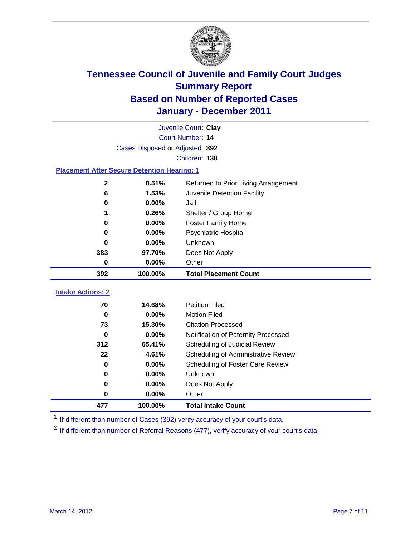

|                                                    |                                 | Juvenile Court: Clay                 |  |  |  |
|----------------------------------------------------|---------------------------------|--------------------------------------|--|--|--|
|                                                    | Court Number: 14                |                                      |  |  |  |
|                                                    | Cases Disposed or Adjusted: 392 |                                      |  |  |  |
|                                                    |                                 | Children: 138                        |  |  |  |
| <b>Placement After Secure Detention Hearing: 1</b> |                                 |                                      |  |  |  |
| $\mathbf{2}$                                       | 0.51%                           | Returned to Prior Living Arrangement |  |  |  |
| $6\phantom{1}6$                                    | 1.53%                           | Juvenile Detention Facility          |  |  |  |
| $\bf{0}$                                           | 0.00%                           | Jail                                 |  |  |  |
| 1                                                  | 0.26%                           | Shelter / Group Home                 |  |  |  |
| $\bf{0}$                                           | 0.00%                           | <b>Foster Family Home</b>            |  |  |  |
| $\bf{0}$                                           | 0.00%                           | Psychiatric Hospital                 |  |  |  |
| 0                                                  | 0.00%                           | <b>Unknown</b>                       |  |  |  |
| 383                                                | 97.70%                          | Does Not Apply                       |  |  |  |
| $\mathbf 0$                                        | 0.00%                           | Other                                |  |  |  |
| 392                                                | 100.00%                         | <b>Total Placement Count</b>         |  |  |  |
|                                                    |                                 |                                      |  |  |  |
| <b>Intake Actions: 2</b>                           |                                 |                                      |  |  |  |
| 70                                                 | 14.68%                          | <b>Petition Filed</b>                |  |  |  |
| $\bf{0}$                                           | 0.00%                           | <b>Motion Filed</b>                  |  |  |  |
| 73                                                 | 15.30%                          | <b>Citation Processed</b>            |  |  |  |
| 0                                                  | $0.00\%$                        | Notification of Paternity Processed  |  |  |  |
| 312                                                | 65.41%                          | Scheduling of Judicial Review        |  |  |  |
| 22                                                 | 4.61%                           | Scheduling of Administrative Review  |  |  |  |
| $\bf{0}$                                           | 0.00%                           | Scheduling of Foster Care Review     |  |  |  |
| $\bf{0}$                                           | 0.00%                           | Unknown                              |  |  |  |
| $\bf{0}$                                           | 0.00%                           | Does Not Apply                       |  |  |  |
| 0                                                  | 0.00%                           | Other                                |  |  |  |
| 477                                                | 100.00%                         | <b>Total Intake Count</b>            |  |  |  |

<sup>1</sup> If different than number of Cases (392) verify accuracy of your court's data.

<sup>2</sup> If different than number of Referral Reasons (477), verify accuracy of your court's data.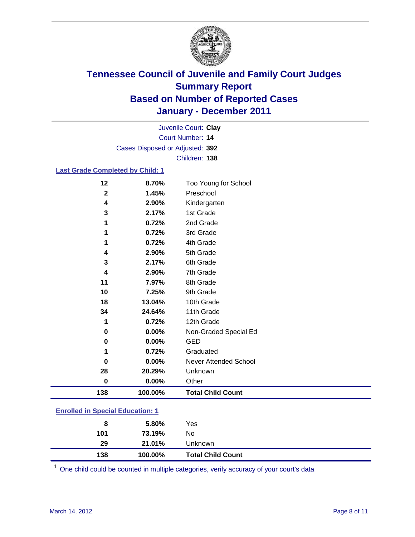

Court Number: **14** Juvenile Court: **Clay** Cases Disposed or Adjusted: **392** Children: **138**

### **Last Grade Completed by Child: 1**

| 138          | 100.00% | <b>Total Child Count</b> |
|--------------|---------|--------------------------|
| 0            | 0.00%   | Other                    |
| 28           | 20.29%  | Unknown                  |
| 0            | 0.00%   | Never Attended School    |
| 1            | 0.72%   | Graduated                |
| 0            | 0.00%   | <b>GED</b>               |
| 0            | 0.00%   | Non-Graded Special Ed    |
| 1            | 0.72%   | 12th Grade               |
| 34           | 24.64%  | 11th Grade               |
| 18           | 13.04%  | 10th Grade               |
| 10           | 7.25%   | 9th Grade                |
| 11           | 7.97%   | 8th Grade                |
| 4            | 2.90%   | 7th Grade                |
| 3            | 2.17%   | 6th Grade                |
| 4            | 2.90%   | 5th Grade                |
| 1            | 0.72%   | 4th Grade                |
| 1            | 0.72%   | 3rd Grade                |
| 1            | 0.72%   | 2nd Grade                |
| 3            | 2.17%   | 1st Grade                |
| 4            | 2.90%   | Kindergarten             |
| $\mathbf{2}$ | 1.45%   | Preschool                |
| 12           | 8.70%   | Too Young for School     |

| 138 | 100.00% | <b>Total Child Count</b> |  |
|-----|---------|--------------------------|--|
| 29  | 21.01%  | <b>Unknown</b>           |  |
| 101 | 73.19%  | No.                      |  |
| 8   | 5.80%   | Yes                      |  |
|     |         |                          |  |

One child could be counted in multiple categories, verify accuracy of your court's data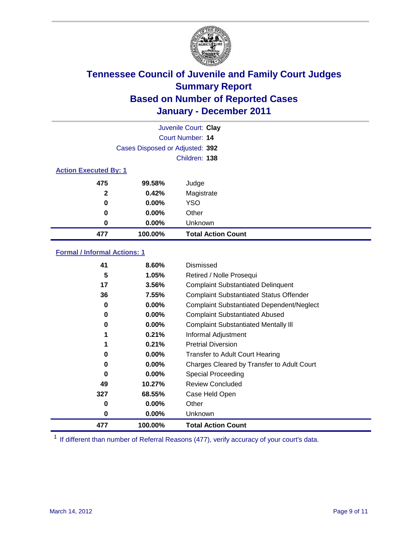

|                              |                                 | Juvenile Court: Clay      |
|------------------------------|---------------------------------|---------------------------|
|                              |                                 | <b>Court Number: 14</b>   |
|                              | Cases Disposed or Adjusted: 392 |                           |
|                              |                                 | Children: 138             |
| <b>Action Executed By: 1</b> |                                 |                           |
| 475                          | 99.58%                          | Judge                     |
| $\mathbf{2}$                 | 0.42%                           | Magistrate                |
| 0                            | $0.00\%$                        | <b>YSO</b>                |
| 0                            | 0.00%                           | Other                     |
| 0                            | 0.00%                           | Unknown                   |
| 477                          | 100.00%                         | <b>Total Action Count</b> |

### **Formal / Informal Actions: 1**

| 41  | 8.60%    | Dismissed                                        |
|-----|----------|--------------------------------------------------|
| 5   | 1.05%    | Retired / Nolle Prosequi                         |
| 17  | 3.56%    | <b>Complaint Substantiated Delinquent</b>        |
| 36  | 7.55%    | <b>Complaint Substantiated Status Offender</b>   |
| 0   | 0.00%    | <b>Complaint Substantiated Dependent/Neglect</b> |
| 0   | $0.00\%$ | <b>Complaint Substantiated Abused</b>            |
| 0   | $0.00\%$ | <b>Complaint Substantiated Mentally III</b>      |
|     | 0.21%    | Informal Adjustment                              |
|     | 0.21%    | <b>Pretrial Diversion</b>                        |
| 0   | $0.00\%$ | <b>Transfer to Adult Court Hearing</b>           |
| 0   | $0.00\%$ | Charges Cleared by Transfer to Adult Court       |
| 0   | 0.00%    | Special Proceeding                               |
| 49  | 10.27%   | <b>Review Concluded</b>                          |
| 327 | 68.55%   | Case Held Open                                   |
| 0   | $0.00\%$ | Other                                            |
| 0   | $0.00\%$ | <b>Unknown</b>                                   |
| 477 | 100.00%  | <b>Total Action Count</b>                        |

<sup>1</sup> If different than number of Referral Reasons (477), verify accuracy of your court's data.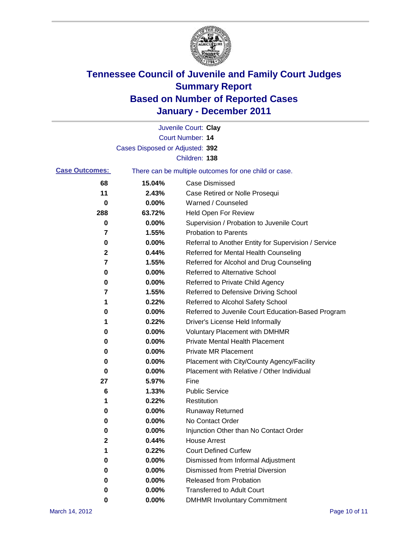

|                       |                                 | Juvenile Court: Clay                                  |
|-----------------------|---------------------------------|-------------------------------------------------------|
|                       |                                 | Court Number: 14                                      |
|                       | Cases Disposed or Adjusted: 392 |                                                       |
|                       |                                 | Children: 138                                         |
| <b>Case Outcomes:</b> |                                 | There can be multiple outcomes for one child or case. |
| 68                    | 15.04%                          | <b>Case Dismissed</b>                                 |
| 11                    | 2.43%                           | Case Retired or Nolle Prosequi                        |
| 0                     | 0.00%                           | Warned / Counseled                                    |
| 288                   | 63.72%                          | Held Open For Review                                  |
| 0                     | 0.00%                           | Supervision / Probation to Juvenile Court             |
| 7                     | 1.55%                           | <b>Probation to Parents</b>                           |
| 0                     | 0.00%                           | Referral to Another Entity for Supervision / Service  |
| 2                     | 0.44%                           | Referred for Mental Health Counseling                 |
| 7                     | 1.55%                           | Referred for Alcohol and Drug Counseling              |
| 0                     | 0.00%                           | <b>Referred to Alternative School</b>                 |
| 0                     | 0.00%                           | Referred to Private Child Agency                      |
| 7                     | 1.55%                           | Referred to Defensive Driving School                  |
| 1                     | 0.22%                           | Referred to Alcohol Safety School                     |
| 0                     | 0.00%                           | Referred to Juvenile Court Education-Based Program    |
| 1                     | 0.22%                           | Driver's License Held Informally                      |
| 0                     | 0.00%                           | <b>Voluntary Placement with DMHMR</b>                 |
| 0                     | 0.00%                           | <b>Private Mental Health Placement</b>                |
| 0                     | 0.00%                           | <b>Private MR Placement</b>                           |
| 0                     | 0.00%                           | Placement with City/County Agency/Facility            |
| 0                     | 0.00%                           | Placement with Relative / Other Individual            |
| 27                    | 5.97%                           | Fine                                                  |
| 6                     | 1.33%                           | <b>Public Service</b>                                 |
| 1                     | 0.22%                           | Restitution                                           |
| 0                     | 0.00%                           | <b>Runaway Returned</b>                               |
| 0                     | 0.00%                           | No Contact Order                                      |
| 0                     | 0.00%                           | Injunction Other than No Contact Order                |
| 2                     | 0.44%                           | <b>House Arrest</b>                                   |
| 1                     | 0.22%                           | <b>Court Defined Curfew</b>                           |
| 0                     | 0.00%                           | Dismissed from Informal Adjustment                    |
| 0                     | 0.00%                           | <b>Dismissed from Pretrial Diversion</b>              |
| 0                     | 0.00%                           | Released from Probation                               |
| 0                     | 0.00%                           | <b>Transferred to Adult Court</b>                     |
| 0                     | $0.00\%$                        | <b>DMHMR Involuntary Commitment</b>                   |